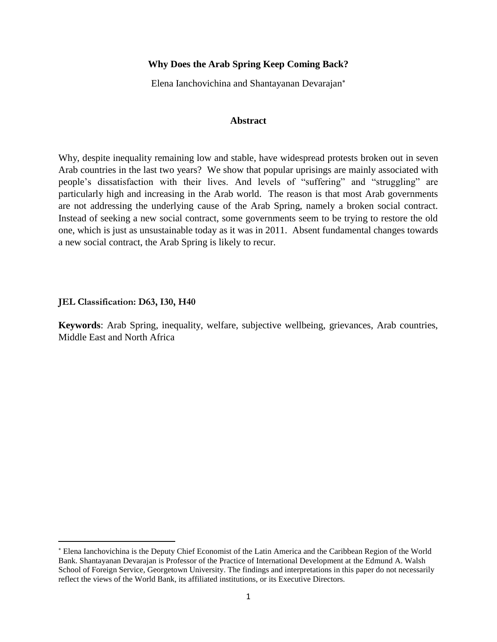# **Why Does the Arab Spring Keep Coming Back?**

Elena Ianchovichina and Shantayanan Devarajan

## **Abstract**

Why, despite inequality remaining low and stable, have widespread protests broken out in seven Arab countries in the last two years? We show that popular uprisings are mainly associated with people's dissatisfaction with their lives. And levels of "suffering" and "struggling" are particularly high and increasing in the Arab world. The reason is that most Arab governments are not addressing the underlying cause of the Arab Spring, namely a broken social contract. Instead of seeking a new social contract, some governments seem to be trying to restore the old one, which is just as unsustainable today as it was in 2011. Absent fundamental changes towards a new social contract, the Arab Spring is likely to recur.

#### **JEL Classification: D63, I30, H40**

 $\overline{\phantom{a}}$ 

**Keywords**: Arab Spring, inequality, welfare, subjective wellbeing, grievances, Arab countries, Middle East and North Africa

Elena Ianchovichina is the Deputy Chief Economist of the Latin America and the Caribbean Region of the World Bank. Shantayanan Devarajan is Professor of the Practice of International Development at the Edmund A. Walsh School of Foreign Service, Georgetown University. The findings and interpretations in this paper do not necessarily reflect the views of the World Bank, its affiliated institutions, or its Executive Directors.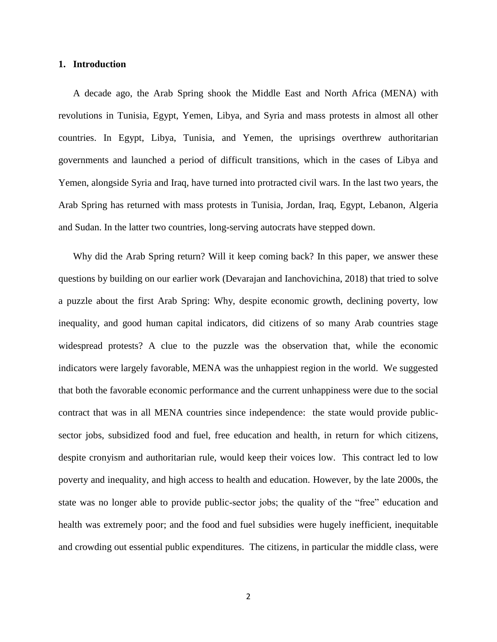#### **1. Introduction**

A decade ago, the Arab Spring shook the Middle East and North Africa (MENA) with revolutions in Tunisia, Egypt, Yemen, Libya, and Syria and mass protests in almost all other countries. In Egypt, Libya, Tunisia, and Yemen, the uprisings overthrew authoritarian governments and launched a period of difficult transitions, which in the cases of Libya and Yemen, alongside Syria and Iraq, have turned into protracted civil wars. In the last two years, the Arab Spring has returned with mass protests in Tunisia, Jordan, Iraq, Egypt, Lebanon, Algeria and Sudan. In the latter two countries, long-serving autocrats have stepped down.

Why did the Arab Spring return? Will it keep coming back? In this paper, we answer these questions by building on our earlier work (Devarajan and Ianchovichina, 2018) that tried to solve a puzzle about the first Arab Spring: Why, despite economic growth, declining poverty, low inequality, and good human capital indicators, did citizens of so many Arab countries stage widespread protests? A clue to the puzzle was the observation that, while the economic indicators were largely favorable, MENA was the unhappiest region in the world. We suggested that both the favorable economic performance and the current unhappiness were due to the social contract that was in all MENA countries since independence: the state would provide publicsector jobs, subsidized food and fuel, free education and health, in return for which citizens, despite cronyism and authoritarian rule, would keep their voices low. This contract led to low poverty and inequality, and high access to health and education. However, by the late 2000s, the state was no longer able to provide public-sector jobs; the quality of the "free" education and health was extremely poor; and the food and fuel subsidies were hugely inefficient, inequitable and crowding out essential public expenditures. The citizens, in particular the middle class, were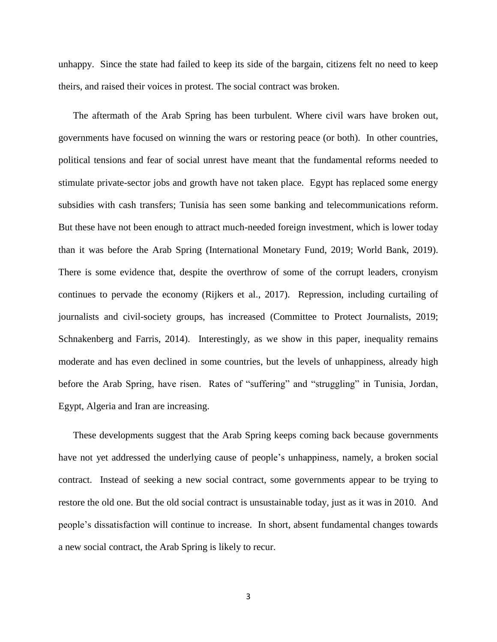unhappy. Since the state had failed to keep its side of the bargain, citizens felt no need to keep theirs, and raised their voices in protest. The social contract was broken.

The aftermath of the Arab Spring has been turbulent. Where civil wars have broken out, governments have focused on winning the wars or restoring peace (or both). In other countries, political tensions and fear of social unrest have meant that the fundamental reforms needed to stimulate private-sector jobs and growth have not taken place. Egypt has replaced some energy subsidies with cash transfers; Tunisia has seen some banking and telecommunications reform. But these have not been enough to attract much-needed foreign investment, which is lower today than it was before the Arab Spring (International Monetary Fund, 2019; World Bank, 2019). There is some evidence that, despite the overthrow of some of the corrupt leaders, cronyism continues to pervade the economy (Rijkers et al., 2017). Repression, including curtailing of journalists and civil-society groups, has increased (Committee to Protect Journalists, 2019; Schnakenberg and Farris, 2014). Interestingly, as we show in this paper, inequality remains moderate and has even declined in some countries, but the levels of unhappiness, already high before the Arab Spring, have risen. Rates of "suffering" and "struggling" in Tunisia, Jordan, Egypt, Algeria and Iran are increasing.

These developments suggest that the Arab Spring keeps coming back because governments have not yet addressed the underlying cause of people's unhappiness, namely, a broken social contract. Instead of seeking a new social contract, some governments appear to be trying to restore the old one. But the old social contract is unsustainable today, just as it was in 2010. And people's dissatisfaction will continue to increase. In short, absent fundamental changes towards a new social contract, the Arab Spring is likely to recur.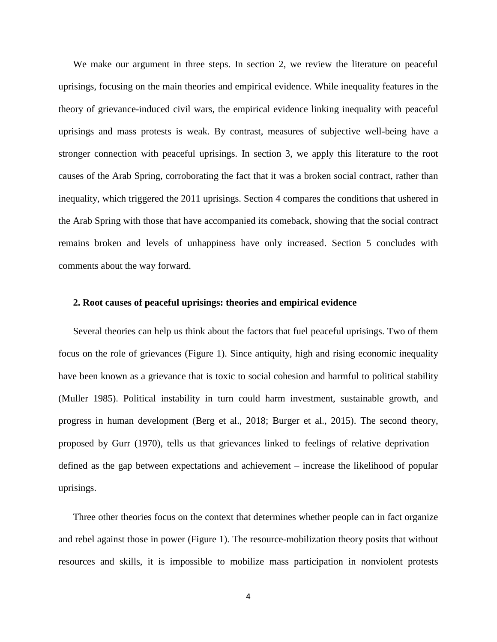We make our argument in three steps. In section 2, we review the literature on peaceful uprisings, focusing on the main theories and empirical evidence. While inequality features in the theory of grievance-induced civil wars, the empirical evidence linking inequality with peaceful uprisings and mass protests is weak. By contrast, measures of subjective well-being have a stronger connection with peaceful uprisings. In section 3, we apply this literature to the root causes of the Arab Spring, corroborating the fact that it was a broken social contract, rather than inequality, which triggered the 2011 uprisings. Section 4 compares the conditions that ushered in the Arab Spring with those that have accompanied its comeback, showing that the social contract remains broken and levels of unhappiness have only increased. Section 5 concludes with comments about the way forward.

## **2. Root causes of peaceful uprisings: theories and empirical evidence**

Several theories can help us think about the factors that fuel peaceful uprisings. Two of them focus on the role of grievances (Figure 1). Since antiquity, high and rising economic inequality have been known as a grievance that is toxic to social cohesion and harmful to political stability (Muller 1985). Political instability in turn could harm investment, sustainable growth, and progress in human development (Berg et al., 2018; Burger et al., 2015). The second theory, proposed by Gurr (1970), tells us that grievances linked to feelings of relative deprivation – defined as the gap between expectations and achievement – increase the likelihood of popular uprisings.

Three other theories focus on the context that determines whether people can in fact organize and rebel against those in power (Figure 1). The resource-mobilization theory posits that without resources and skills, it is impossible to mobilize mass participation in nonviolent protests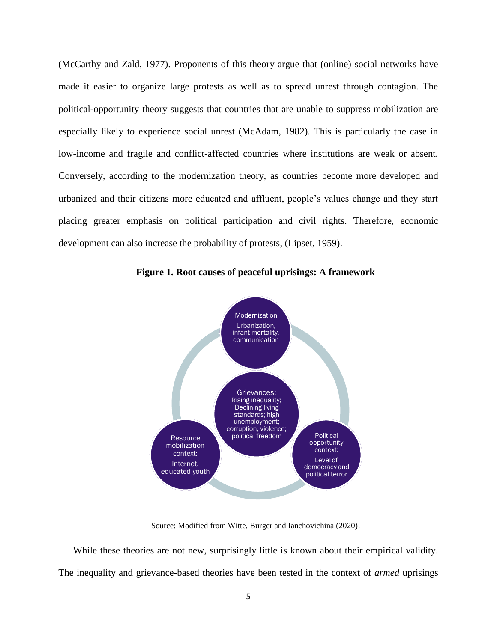(McCarthy and Zald, 1977). Proponents of this theory argue that (online) social networks have made it easier to organize large protests as well as to spread unrest through contagion. The political-opportunity theory suggests that countries that are unable to suppress mobilization are especially likely to experience social unrest (McAdam, 1982). This is particularly the case in low-income and fragile and conflict-affected countries where institutions are weak or absent. Conversely, according to the modernization theory, as countries become more developed and urbanized and their citizens more educated and affluent, people's values change and they start placing greater emphasis on political participation and civil rights. Therefore, economic development can also increase the probability of protests, (Lipset, 1959).



**Figure 1. Root causes of peaceful uprisings: A framework**

Source: Modified from Witte, Burger and Ianchovichina (2020).

While these theories are not new, surprisingly little is known about their empirical validity. The inequality and grievance-based theories have been tested in the context of *armed* uprisings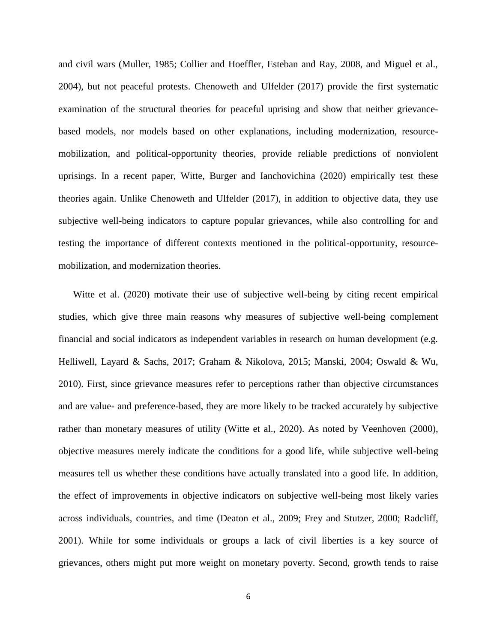and civil wars (Muller, 1985; Collier and Hoeffler, Esteban and Ray, 2008, and Miguel et al., 2004), but not peaceful protests. Chenoweth and Ulfelder (2017) provide the first systematic examination of the structural theories for peaceful uprising and show that neither grievancebased models, nor models based on other explanations, including modernization, resourcemobilization, and political-opportunity theories, provide reliable predictions of nonviolent uprisings. In a recent paper, Witte, Burger and Ianchovichina (2020) empirically test these theories again. Unlike Chenoweth and Ulfelder (2017), in addition to objective data, they use subjective well-being indicators to capture popular grievances, while also controlling for and testing the importance of different contexts mentioned in the political-opportunity, resourcemobilization, and modernization theories.

Witte et al. (2020) motivate their use of subjective well-being by citing recent empirical studies, which give three main reasons why measures of subjective well-being complement financial and social indicators as independent variables in research on human development (e.g. Helliwell, Layard & Sachs, 2017; Graham & Nikolova, 2015; Manski, 2004; Oswald & Wu, 2010). First, since grievance measures refer to perceptions rather than objective circumstances and are value- and preference-based, they are more likely to be tracked accurately by subjective rather than monetary measures of utility (Witte et al., 2020). As noted by Veenhoven (2000), objective measures merely indicate the conditions for a good life, while subjective well-being measures tell us whether these conditions have actually translated into a good life. In addition, the effect of improvements in objective indicators on subjective well-being most likely varies across individuals, countries, and time (Deaton et al., 2009; Frey and Stutzer, 2000; Radcliff, 2001). While for some individuals or groups a lack of civil liberties is a key source of grievances, others might put more weight on monetary poverty. Second, growth tends to raise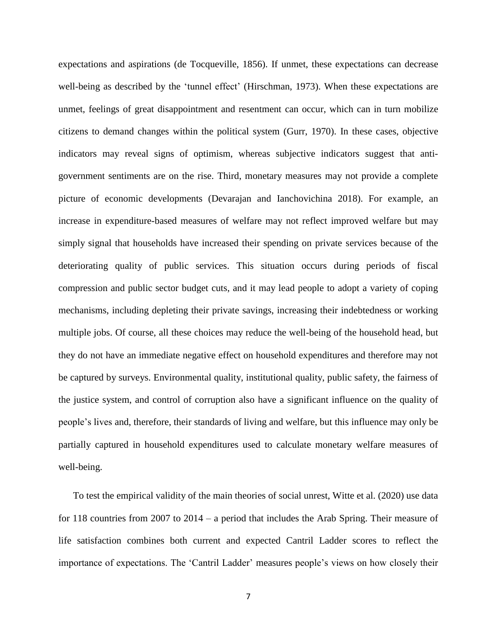expectations and aspirations (de Tocqueville, 1856). If unmet, these expectations can decrease well-being as described by the 'tunnel effect' (Hirschman, 1973). When these expectations are unmet, feelings of great disappointment and resentment can occur, which can in turn mobilize citizens to demand changes within the political system (Gurr, 1970). In these cases, objective indicators may reveal signs of optimism, whereas subjective indicators suggest that antigovernment sentiments are on the rise. Third, monetary measures may not provide a complete picture of economic developments (Devarajan and Ianchovichina 2018). For example, an increase in expenditure-based measures of welfare may not reflect improved welfare but may simply signal that households have increased their spending on private services because of the deteriorating quality of public services. This situation occurs during periods of fiscal compression and public sector budget cuts, and it may lead people to adopt a variety of coping mechanisms, including depleting their private savings, increasing their indebtedness or working multiple jobs. Of course, all these choices may reduce the well-being of the household head, but they do not have an immediate negative effect on household expenditures and therefore may not be captured by surveys. Environmental quality, institutional quality, public safety, the fairness of the justice system, and control of corruption also have a significant influence on the quality of people's lives and, therefore, their standards of living and welfare, but this influence may only be partially captured in household expenditures used to calculate monetary welfare measures of well-being.

To test the empirical validity of the main theories of social unrest, Witte et al. (2020) use data for 118 countries from 2007 to 2014 – a period that includes the Arab Spring. Their measure of life satisfaction combines both current and expected Cantril Ladder scores to reflect the importance of expectations. The 'Cantril Ladder' measures people's views on how closely their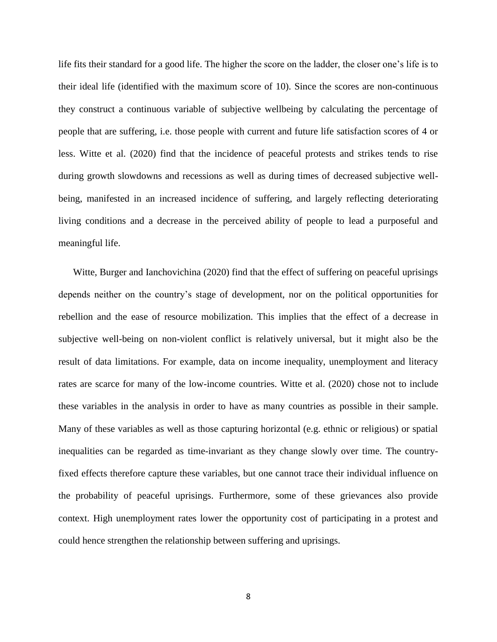life fits their standard for a good life. The higher the score on the ladder, the closer one's life is to their ideal life (identified with the maximum score of 10). Since the scores are non-continuous they construct a continuous variable of subjective wellbeing by calculating the percentage of people that are suffering, i.e. those people with current and future life satisfaction scores of 4 or less. Witte et al. (2020) find that the incidence of peaceful protests and strikes tends to rise during growth slowdowns and recessions as well as during times of decreased subjective wellbeing, manifested in an increased incidence of suffering, and largely reflecting deteriorating living conditions and a decrease in the perceived ability of people to lead a purposeful and meaningful life.

Witte, Burger and Ianchovichina (2020) find that the effect of suffering on peaceful uprisings depends neither on the country's stage of development, nor on the political opportunities for rebellion and the ease of resource mobilization. This implies that the effect of a decrease in subjective well-being on non-violent conflict is relatively universal, but it might also be the result of data limitations. For example, data on income inequality, unemployment and literacy rates are scarce for many of the low-income countries. Witte et al. (2020) chose not to include these variables in the analysis in order to have as many countries as possible in their sample. Many of these variables as well as those capturing horizontal (e.g. ethnic or religious) or spatial inequalities can be regarded as time-invariant as they change slowly over time. The countryfixed effects therefore capture these variables, but one cannot trace their individual influence on the probability of peaceful uprisings. Furthermore, some of these grievances also provide context. High unemployment rates lower the opportunity cost of participating in a protest and could hence strengthen the relationship between suffering and uprisings.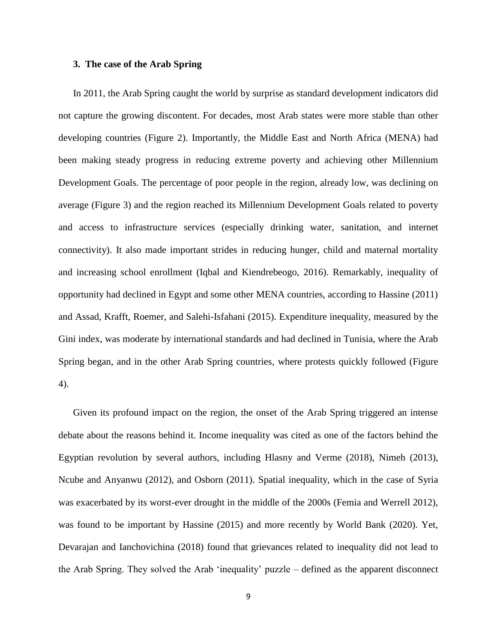### **3. The case of the Arab Spring**

In 2011, the Arab Spring caught the world by surprise as standard development indicators did not capture the growing discontent. For decades, most Arab states were more stable than other developing countries (Figure 2). Importantly, the Middle East and North Africa (MENA) had been making steady progress in reducing extreme poverty and achieving other Millennium Development Goals. The percentage of poor people in the region, already low, was declining on average (Figure 3) and the region reached its Millennium Development Goals related to poverty and access to infrastructure services (especially drinking water, sanitation, and internet connectivity). It also made important strides in reducing hunger, child and maternal mortality and increasing school enrollment (Iqbal and Kiendrebeogo, 2016). Remarkably, inequality of opportunity had declined in Egypt and some other MENA countries, according to Hassine (2011) and Assad, Krafft, Roemer, and Salehi-Isfahani (2015). Expenditure inequality, measured by the Gini index, was moderate by international standards and had declined in Tunisia, where the Arab Spring began, and in the other Arab Spring countries, where protests quickly followed (Figure 4).

Given its profound impact on the region, the onset of the Arab Spring triggered an intense debate about the reasons behind it. Income inequality was cited as one of the factors behind the Egyptian revolution by several authors, including Hlasny and Verme (2018), Nimeh (2013), Ncube and Anyanwu (2012), and Osborn (2011). Spatial inequality, which in the case of Syria was exacerbated by its worst-ever drought in the middle of the 2000s (Femia and Werrell 2012), was found to be important by Hassine (2015) and more recently by World Bank (2020). Yet, Devarajan and Ianchovichina (2018) found that grievances related to inequality did not lead to the Arab Spring. They solved the Arab 'inequality' puzzle – defined as the apparent disconnect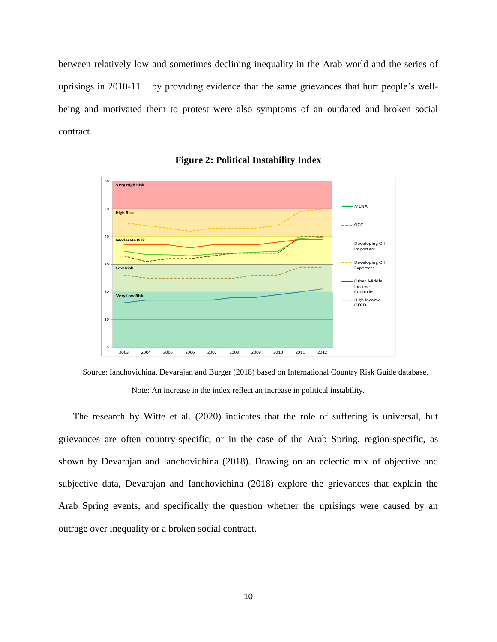between relatively low and sometimes declining inequality in the Arab world and the series of uprisings in 2010-11 – by providing evidence that the same grievances that hurt people's wellbeing and motivated them to protest were also symptoms of an outdated and broken social contract.



**Figure 2: Political Instability Index** 

Source: Ianchovichina, Devarajan and Burger (2018) based on International Country Risk Guide database.

Note: An increase in the index reflect an increase in political instability.

The research by Witte et al. (2020) indicates that the role of suffering is universal, but grievances are often country-specific, or in the case of the Arab Spring, region-specific, as shown by Devarajan and Ianchovichina (2018). Drawing on an eclectic mix of objective and subjective data, Devarajan and Ianchovichina (2018) explore the grievances that explain the Arab Spring events, and specifically the question whether the uprisings were caused by an outrage over inequality or a broken social contract.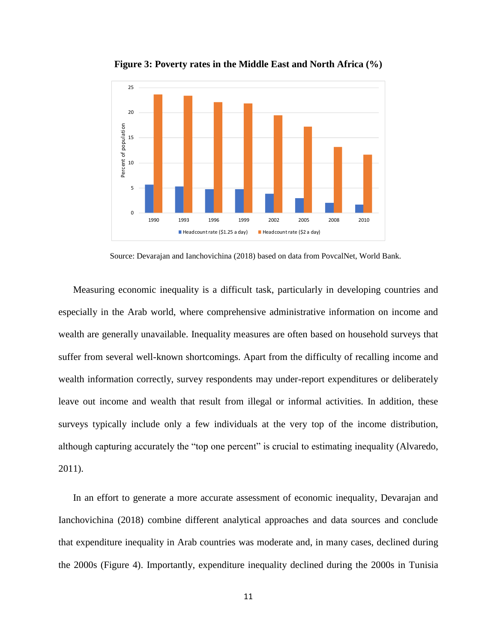

**Figure 3: Poverty rates in the Middle East and North Africa (%)** 

Source: Devarajan and Ianchovichina (2018) based on data from PovcalNet, World Bank.

Measuring economic inequality is a difficult task, particularly in developing countries and especially in the Arab world, where comprehensive administrative information on income and wealth are generally unavailable. Inequality measures are often based on household surveys that suffer from several well-known shortcomings. Apart from the difficulty of recalling income and wealth information correctly, survey respondents may under-report expenditures or deliberately leave out income and wealth that result from illegal or informal activities. In addition, these surveys typically include only a few individuals at the very top of the income distribution, although capturing accurately the "top one percent" is crucial to estimating inequality (Alvaredo, 2011).

In an effort to generate a more accurate assessment of economic inequality, Devarajan and Ianchovichina (2018) combine different analytical approaches and data sources and conclude that expenditure inequality in Arab countries was moderate and, in many cases, declined during the 2000s (Figure 4). Importantly, expenditure inequality declined during the 2000s in Tunisia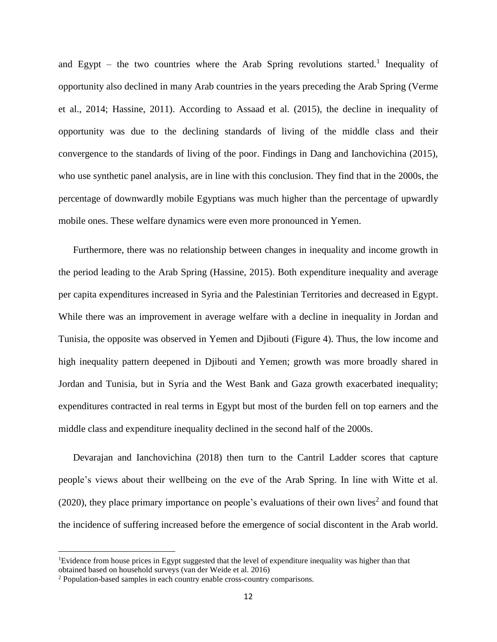and Egypt  $-$  the two countries where the Arab Spring revolutions started.<sup>1</sup> Inequality of opportunity also declined in many Arab countries in the years preceding the Arab Spring (Verme et al., 2014; Hassine, 2011). According to Assaad et al. (2015), the decline in inequality of opportunity was due to the declining standards of living of the middle class and their convergence to the standards of living of the poor. Findings in Dang and Ianchovichina (2015), who use synthetic panel analysis, are in line with this conclusion. They find that in the 2000s, the percentage of downwardly mobile Egyptians was much higher than the percentage of upwardly mobile ones. These welfare dynamics were even more pronounced in Yemen.

Furthermore, there was no relationship between changes in inequality and income growth in the period leading to the Arab Spring (Hassine, 2015). Both expenditure inequality and average per capita expenditures increased in Syria and the Palestinian Territories and decreased in Egypt. While there was an improvement in average welfare with a decline in inequality in Jordan and Tunisia, the opposite was observed in Yemen and Djibouti (Figure 4). Thus, the low income and high inequality pattern deepened in Djibouti and Yemen; growth was more broadly shared in Jordan and Tunisia, but in Syria and the West Bank and Gaza growth exacerbated inequality; expenditures contracted in real terms in Egypt but most of the burden fell on top earners and the middle class and expenditure inequality declined in the second half of the 2000s.

Devarajan and Ianchovichina (2018) then turn to the Cantril Ladder scores that capture people's views about their wellbeing on the eve of the Arab Spring. In line with Witte et al.  $(2020)$ , they place primary importance on people's evaluations of their own lives<sup>2</sup> and found that the incidence of suffering increased before the emergence of social discontent in the Arab world.

 $\overline{\phantom{a}}$ 

<sup>1</sup>Evidence from house prices in Egypt suggested that the level of expenditure inequality was higher than that obtained based on household surveys (van der Weide et al. 2016)

<sup>2</sup> Population-based samples in each country enable cross-country comparisons.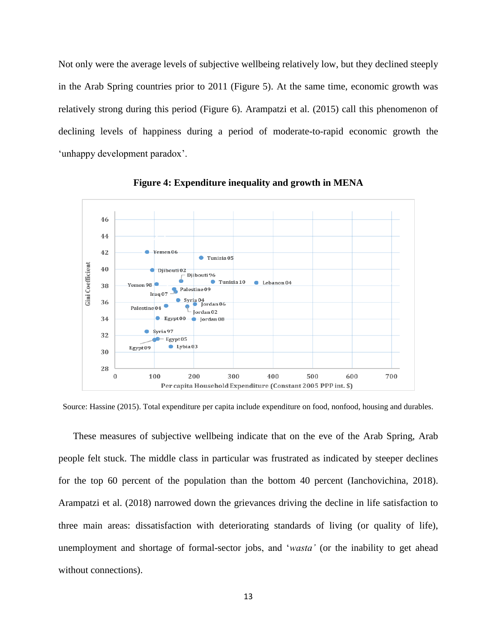Not only were the average levels of subjective wellbeing relatively low, but they declined steeply in the Arab Spring countries prior to 2011 (Figure 5). At the same time, economic growth was relatively strong during this period (Figure 6). Arampatzi et al. (2015) call this phenomenon of declining levels of happiness during a period of moderate-to-rapid economic growth the 'unhappy development paradox'.



**Figure 4: Expenditure inequality and growth in MENA**

Source: Hassine (2015). Total expenditure per capita include expenditure on food, nonfood, housing and durables.

These measures of subjective wellbeing indicate that on the eve of the Arab Spring, Arab people felt stuck. The middle class in particular was frustrated as indicated by steeper declines for the top 60 percent of the population than the bottom 40 percent (Ianchovichina, 2018). Arampatzi et al. (2018) narrowed down the grievances driving the decline in life satisfaction to three main areas: dissatisfaction with deteriorating standards of living (or quality of life), unemployment and shortage of formal-sector jobs, and '*wasta'* (or the inability to get ahead without connections).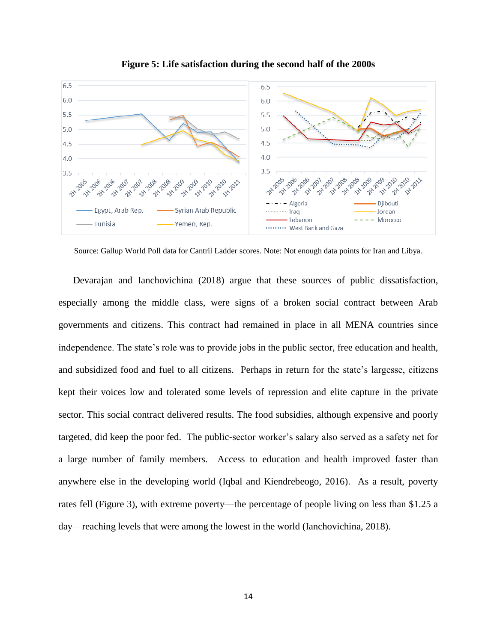

**Figure 5: Life satisfaction during the second half of the 2000s**

Source: Gallup World Poll data for Cantril Ladder scores. Note: Not enough data points for Iran and Libya.

Devarajan and Ianchovichina (2018) argue that these sources of public dissatisfaction, especially among the middle class, were signs of a broken social contract between Arab governments and citizens. This contract had remained in place in all MENA countries since independence. The state's role was to provide jobs in the public sector, free education and health, and subsidized food and fuel to all citizens. Perhaps in return for the state's largesse, citizens kept their voices low and tolerated some levels of repression and elite capture in the private sector. This social contract delivered results. The food subsidies, although expensive and poorly targeted, did keep the poor fed. The public-sector worker's salary also served as a safety net for a large number of family members. Access to education and health improved faster than anywhere else in the developing world (Iqbal and Kiendrebeogo, 2016). As a result, poverty rates fell (Figure 3), with extreme poverty—the percentage of people living on less than \$1.25 a day—reaching levels that were among the lowest in the world (Ianchovichina, 2018).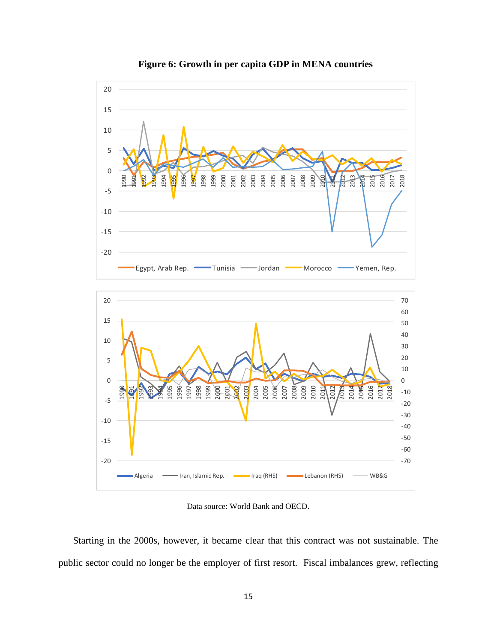

**Figure 6: Growth in per capita GDP in MENA countries**

Data source: World Bank and OECD.

Starting in the 2000s, however, it became clear that this contract was not sustainable. The public sector could no longer be the employer of first resort. Fiscal imbalances grew, reflecting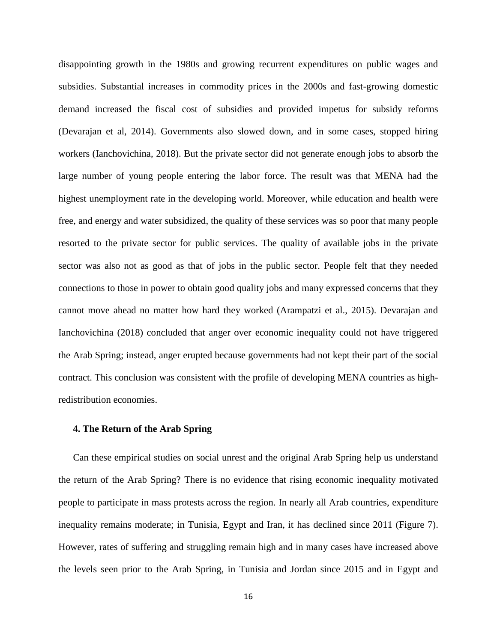disappointing growth in the 1980s and growing recurrent expenditures on public wages and subsidies. Substantial increases in commodity prices in the 2000s and fast-growing domestic demand increased the fiscal cost of subsidies and provided impetus for subsidy reforms (Devarajan et al, 2014). Governments also slowed down, and in some cases, stopped hiring workers (Ianchovichina, 2018). But the private sector did not generate enough jobs to absorb the large number of young people entering the labor force. The result was that MENA had the highest unemployment rate in the developing world. Moreover, while education and health were free, and energy and water subsidized, the quality of these services was so poor that many people resorted to the private sector for public services. The quality of available jobs in the private sector was also not as good as that of jobs in the public sector. People felt that they needed connections to those in power to obtain good quality jobs and many expressed concerns that they cannot move ahead no matter how hard they worked (Arampatzi et al., 2015). Devarajan and Ianchovichina (2018) concluded that anger over economic inequality could not have triggered the Arab Spring; instead, anger erupted because governments had not kept their part of the social contract. This conclusion was consistent with the profile of developing MENA countries as highredistribution economies.

#### **4. The Return of the Arab Spring**

Can these empirical studies on social unrest and the original Arab Spring help us understand the return of the Arab Spring? There is no evidence that rising economic inequality motivated people to participate in mass protests across the region. In nearly all Arab countries, expenditure inequality remains moderate; in Tunisia, Egypt and Iran, it has declined since 2011 (Figure 7). However, rates of suffering and struggling remain high and in many cases have increased above the levels seen prior to the Arab Spring, in Tunisia and Jordan since 2015 and in Egypt and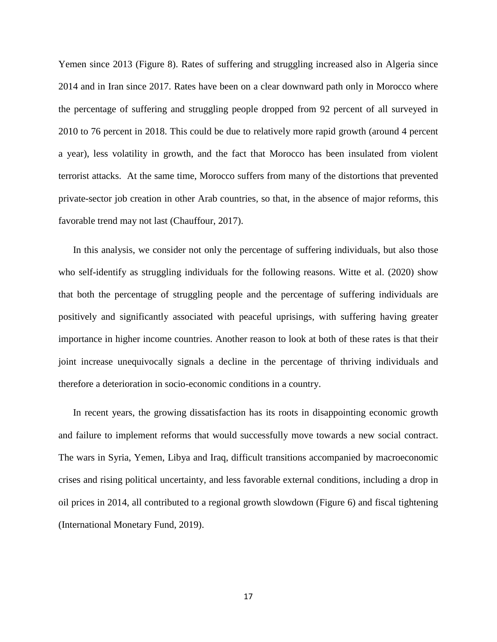Yemen since 2013 (Figure 8). Rates of suffering and struggling increased also in Algeria since 2014 and in Iran since 2017. Rates have been on a clear downward path only in Morocco where the percentage of suffering and struggling people dropped from 92 percent of all surveyed in 2010 to 76 percent in 2018. This could be due to relatively more rapid growth (around 4 percent a year), less volatility in growth, and the fact that Morocco has been insulated from violent terrorist attacks. At the same time, Morocco suffers from many of the distortions that prevented private-sector job creation in other Arab countries, so that, in the absence of major reforms, this favorable trend may not last (Chauffour, 2017).

In this analysis, we consider not only the percentage of suffering individuals, but also those who self-identify as struggling individuals for the following reasons. Witte et al. (2020) show that both the percentage of struggling people and the percentage of suffering individuals are positively and significantly associated with peaceful uprisings, with suffering having greater importance in higher income countries. Another reason to look at both of these rates is that their joint increase unequivocally signals a decline in the percentage of thriving individuals and therefore a deterioration in socio-economic conditions in a country.

In recent years, the growing dissatisfaction has its roots in disappointing economic growth and failure to implement reforms that would successfully move towards a new social contract. The wars in Syria, Yemen, Libya and Iraq, difficult transitions accompanied by macroeconomic crises and rising political uncertainty, and less favorable external conditions, including a drop in oil prices in 2014, all contributed to a regional growth slowdown (Figure 6) and fiscal tightening (International Monetary Fund, 2019).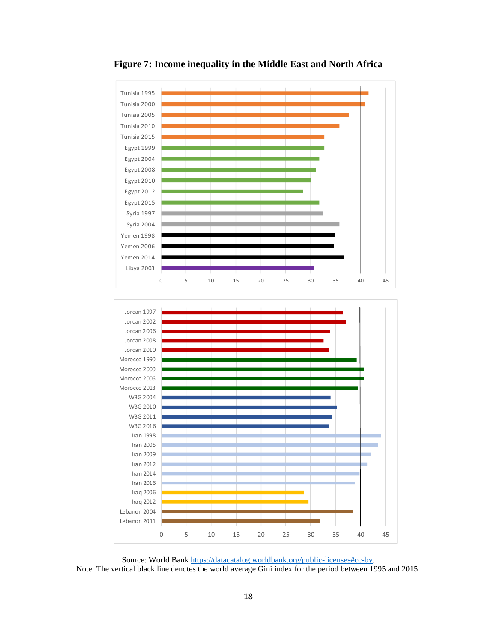

**Figure 7: Income inequality in the Middle East and North Africa**

Source: World Bank [https://datacatalog.worldbank.org/public-licenses#cc-by.](https://datacatalog.worldbank.org/public-licenses#cc-by) Note: The vertical black line denotes the world average Gini index for the period between 1995 and 2015.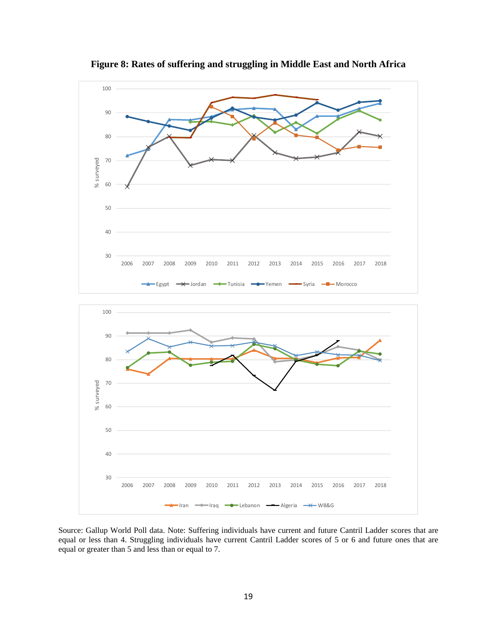

**Figure 8: Rates of suffering and struggling in Middle East and North Africa**

Source: Gallup World Poll data. Note: Suffering individuals have current and future Cantril Ladder scores that are equal or less than 4. Struggling individuals have current Cantril Ladder scores of 5 or 6 and future ones that are equal or greater than 5 and less than or equal to 7.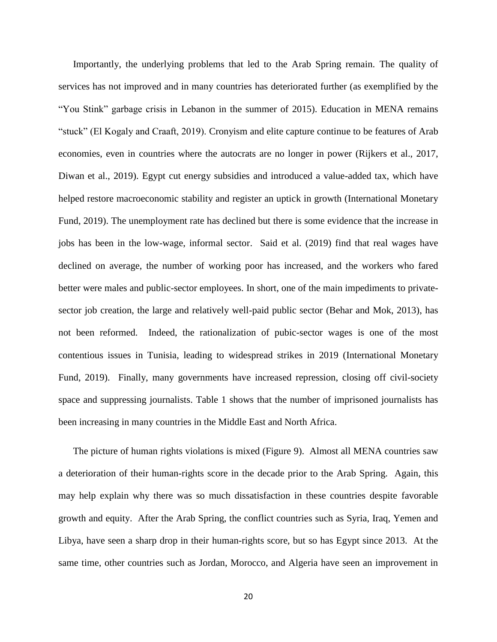Importantly, the underlying problems that led to the Arab Spring remain. The quality of services has not improved and in many countries has deteriorated further (as exemplified by the "You Stink" garbage crisis in Lebanon in the summer of 2015). Education in MENA remains "stuck" (El Kogaly and Craaft, 2019). Cronyism and elite capture continue to be features of Arab economies, even in countries where the autocrats are no longer in power (Rijkers et al., 2017, Diwan et al., 2019). Egypt cut energy subsidies and introduced a value-added tax, which have helped restore macroeconomic stability and register an uptick in growth (International Monetary Fund, 2019). The unemployment rate has declined but there is some evidence that the increase in jobs has been in the low-wage, informal sector. Said et al. (2019) find that real wages have declined on average, the number of working poor has increased, and the workers who fared better were males and public-sector employees. In short, one of the main impediments to privatesector job creation, the large and relatively well-paid public sector (Behar and Mok, 2013), has not been reformed. Indeed, the rationalization of pubic-sector wages is one of the most contentious issues in Tunisia, leading to widespread strikes in 2019 (International Monetary Fund, 2019). Finally, many governments have increased repression, closing off civil-society space and suppressing journalists. Table 1 shows that the number of imprisoned journalists has been increasing in many countries in the Middle East and North Africa.

The picture of human rights violations is mixed (Figure 9). Almost all MENA countries saw a deterioration of their human-rights score in the decade prior to the Arab Spring. Again, this may help explain why there was so much dissatisfaction in these countries despite favorable growth and equity. After the Arab Spring, the conflict countries such as Syria, Iraq, Yemen and Libya, have seen a sharp drop in their human-rights score, but so has Egypt since 2013. At the same time, other countries such as Jordan, Morocco, and Algeria have seen an improvement in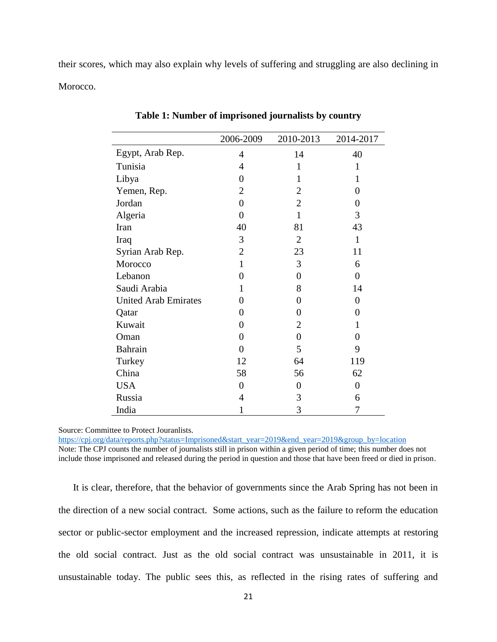their scores, which may also explain why levels of suffering and struggling are also declining in Morocco.

|                             | 2006-2009      | 2010-2013      | 2014-2017        |
|-----------------------------|----------------|----------------|------------------|
| Egypt, Arab Rep.            | $\overline{4}$ | 14             | 40               |
| Tunisia                     | 4              | $\mathbf{1}$   | 1                |
| Libya                       | 0              | 1              | 1                |
| Yemen, Rep.                 | 2              | $\overline{2}$ | 0                |
| Jordan                      | 0              | $\overline{2}$ | 0                |
| Algeria                     | 0              | $\mathbf{1}$   | 3                |
| Iran                        | 40             | 81             | 43               |
| Iraq                        | 3              | 2              | $\mathbf{1}$     |
| Syrian Arab Rep.            | 2              | 23             | 11               |
| Morocco                     | 1              | 3              | 6                |
| Lebanon                     | 0              | $\theta$       | $\Omega$         |
| Saudi Arabia                | 1              | 8              | 14               |
| <b>United Arab Emirates</b> | 0              | 0              | $\boldsymbol{0}$ |
| Qatar                       | 0              | 0              | 0                |
| Kuwait                      | 0              | 2              | 1                |
| Oman                        | 0              | 0              | 0                |
| <b>Bahrain</b>              | 0              | 5              | 9                |
| Turkey                      | 12             | 64             | 119              |
| China                       | 58             | 56             | 62               |
| <b>USA</b>                  | 0              | 0              | 0                |
| Russia                      | 4              | 3              | 6                |
| India                       | 1              | 3              | 7                |

**Table 1: Number of imprisoned journalists by country**

Source: Committee to Protect Jouranlists.

[https://cpj.org/data/reports.php?status=Imprisoned&start\\_year=2019&end\\_year=2019&group\\_by=location](https://cpj.org/data/reports.php?status=Imprisoned&start_year=2019&end_year=2019&group_by=location)

Note: The CPJ counts the number of journalists still in prison within a given period of time; this number does not include those imprisoned and released during the period in question and those that have been freed or died in prison.

It is clear, therefore, that the behavior of governments since the Arab Spring has not been in the direction of a new social contract. Some actions, such as the failure to reform the education sector or public-sector employment and the increased repression, indicate attempts at restoring the old social contract. Just as the old social contract was unsustainable in 2011, it is unsustainable today. The public sees this, as reflected in the rising rates of suffering and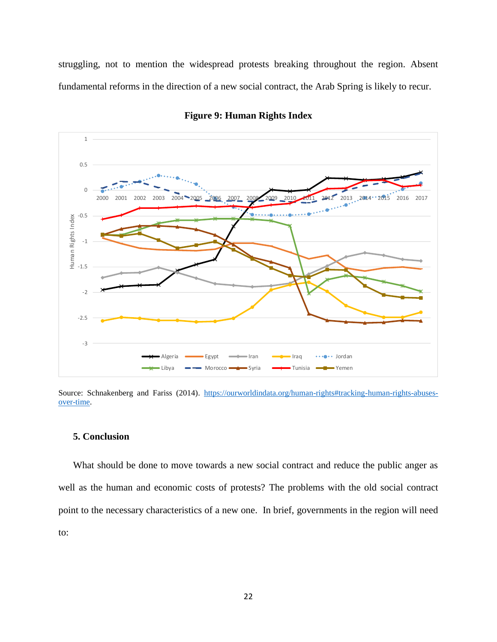struggling, not to mention the widespread protests breaking throughout the region. Absent fundamental reforms in the direction of a new social contract, the Arab Spring is likely to recur.

![](_page_21_Figure_1.jpeg)

**Figure 9: Human Rights Index**

Source: Schnakenberg and Fariss (2014). [https://ourworldindata.org/human-rights#tracking-human-rights-abuses](https://ourworldindata.org/human-rights#tracking-human-rights-abuses-over-time)[over-time.](https://ourworldindata.org/human-rights#tracking-human-rights-abuses-over-time)

## **5. Conclusion**

What should be done to move towards a new social contract and reduce the public anger as well as the human and economic costs of protests? The problems with the old social contract point to the necessary characteristics of a new one. In brief, governments in the region will need to: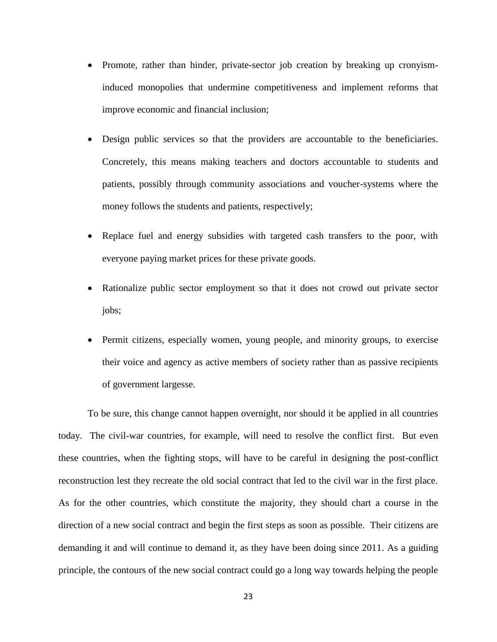- Promote, rather than hinder, private-sector job creation by breaking up cronyisminduced monopolies that undermine competitiveness and implement reforms that improve economic and financial inclusion;
- Design public services so that the providers are accountable to the beneficiaries. Concretely, this means making teachers and doctors accountable to students and patients, possibly through community associations and voucher-systems where the money follows the students and patients, respectively;
- Replace fuel and energy subsidies with targeted cash transfers to the poor, with everyone paying market prices for these private goods.
- Rationalize public sector employment so that it does not crowd out private sector jobs;
- Permit citizens, especially women, young people, and minority groups, to exercise their voice and agency as active members of society rather than as passive recipients of government largesse.

To be sure, this change cannot happen overnight, nor should it be applied in all countries today. The civil-war countries, for example, will need to resolve the conflict first. But even these countries, when the fighting stops, will have to be careful in designing the post-conflict reconstruction lest they recreate the old social contract that led to the civil war in the first place. As for the other countries, which constitute the majority, they should chart a course in the direction of a new social contract and begin the first steps as soon as possible. Their citizens are demanding it and will continue to demand it, as they have been doing since 2011. As a guiding principle, the contours of the new social contract could go a long way towards helping the people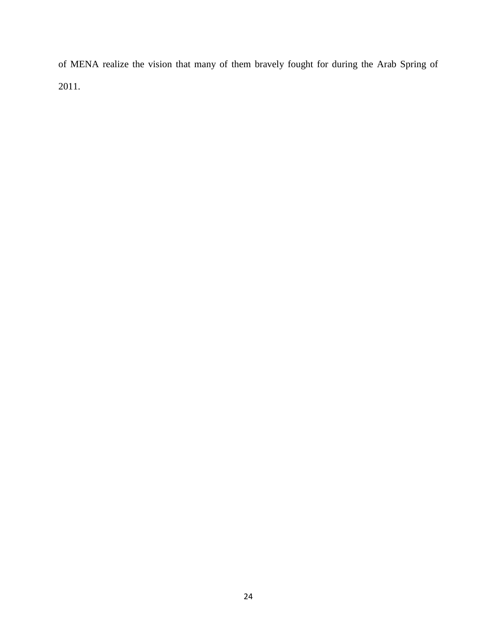of MENA realize the vision that many of them bravely fought for during the Arab Spring of 2011.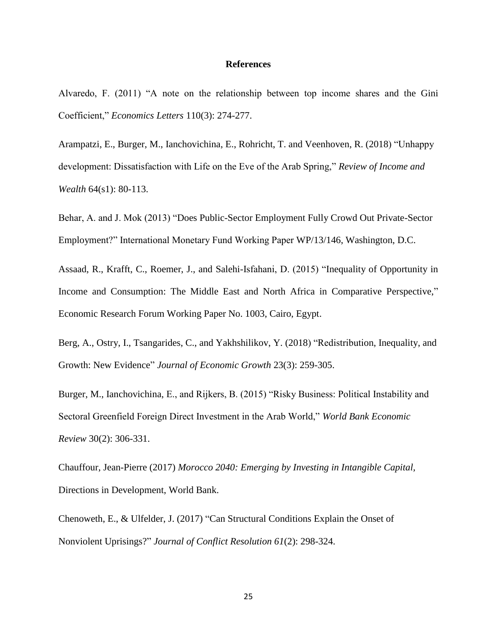#### **References**

Alvaredo, F. (2011) "A note on the relationship between top income shares and the Gini Coefficient," *Economics Letters* 110(3): 274-277.

Arampatzi, E., Burger, M., Ianchovichina, E., Rohricht, T. and Veenhoven, R. (2018) "Unhappy development: Dissatisfaction with Life on the Eve of the Arab Spring," *Review of Income and Wealth* 64(s1): 80-113.

Behar, A. and J. Mok (2013) "Does Public-Sector Employment Fully Crowd Out Private-Sector Employment?" International Monetary Fund Working Paper WP/13/146, Washington, D.C.

Assaad, R., Krafft, C., Roemer, J., and Salehi-Isfahani, D. (2015) "Inequality of Opportunity in Income and Consumption: The Middle East and North Africa in Comparative Perspective," Economic Research Forum Working Paper No. 1003, Cairo, Egypt.

Berg, A., Ostry, I., Tsangarides, C., and Yakhshilikov, Y. (2018) "Redistribution, Inequality, and Growth: New Evidence" *Journal of Economic Growth* 23(3): 259-305.

Burger, M., Ianchovichina, E., and Rijkers, B. (2015) "Risky Business: Political Instability and Sectoral Greenfield Foreign Direct Investment in the Arab World," *World Bank Economic Review* 30(2): 306-331.

Chauffour, Jean-Pierre (2017) *Morocco 2040: Emerging by Investing in Intangible Capital,* Directions in Development, World Bank.

Chenoweth, E., & Ulfelder, J. (2017) "Can Structural Conditions Explain the Onset of Nonviolent Uprisings?" *Journal of Conflict Resolution 61*(2): 298-324.

25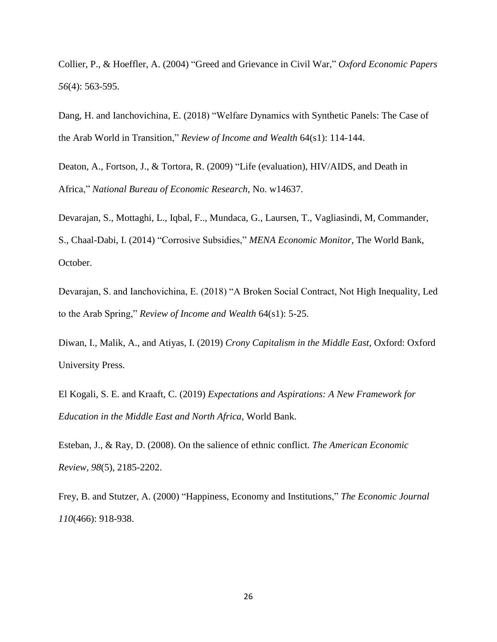Collier, P., & Hoeffler, A. (2004) "Greed and Grievance in Civil War," *Oxford Economic Papers 56*(4): 563-595.

Dang, H. and Ianchovichina, E. (2018) "Welfare Dynamics with Synthetic Panels: The Case of the Arab World in Transition," *Review of Income and Wealth* 64(s1): 114-144.

Deaton, A., Fortson, J., & Tortora, R. (2009) "Life (evaluation), HIV/AIDS, and Death in Africa," *National Bureau of Economic Research*, No. w14637.

Devarajan, S., Mottaghi, L., Iqbal, F.., Mundaca, G., Laursen, T., Vagliasindi, M, Commander, S., Chaal-Dabi, I. (2014) "Corrosive Subsidies," *MENA Economic Monitor*, The World Bank, October.

Devarajan, S. and Ianchovichina, E. (2018) "A Broken Social Contract, Not High Inequality, Led to the Arab Spring," *Review of Income and Wealth* 64(s1): 5-25.

Diwan, I., Malik, A., and Atiyas, I. (2019) *Crony Capitalism in the Middle East*, Oxford: Oxford University Press.

El Kogali, S. E. and Kraaft, C. (2019) *Expectations and Aspirations: A New Framework for Education in the Middle East and North Africa,* World Bank.

Esteban, J., & Ray, D. (2008). On the salience of ethnic conflict. *The American Economic Review, 98*(5), 2185-2202.

Frey, B. and Stutzer, A. (2000) "Happiness, Economy and Institutions," *The Economic Journal 110*(466): 918-938.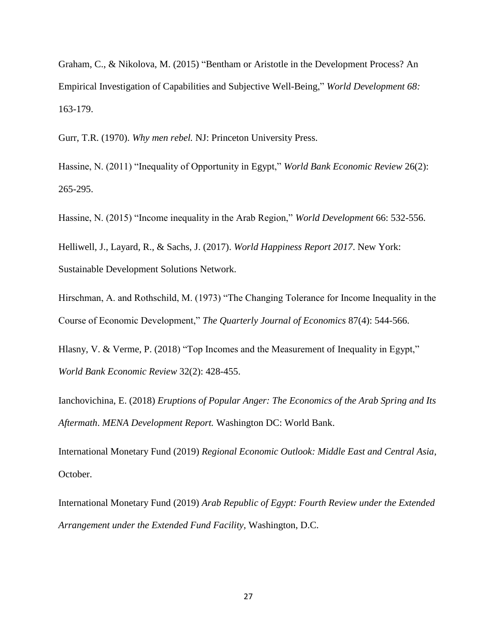Graham, C., & Nikolova, M. (2015) "Bentham or Aristotle in the Development Process? An Empirical Investigation of Capabilities and Subjective Well-Being," *World Development 68:* 163-179.

Gurr, T.R. (1970). *Why men rebel.* NJ: Princeton University Press.

Hassine, N. (2011) "Inequality of Opportunity in Egypt," *World Bank Economic Review* 26(2): 265-295.

Hassine, N. (2015) "Income inequality in the Arab Region," *World Development* 66: 532-556.

Helliwell, J., Layard, R., & Sachs, J. (2017). *World Happiness Report 2017*. New York: Sustainable Development Solutions Network.

Hirschman, A. and Rothschild, M. (1973) "The Changing Tolerance for Income Inequality in the Course of Economic Development," *The Quarterly Journal of Economics* 87(4): 544-566.

Hlasny, V. & Verme, P. (2018) "Top Incomes and the Measurement of Inequality in Egypt," *World Bank Economic Review* 32(2): 428-455.

Ianchovichina, E. (2018) *Eruptions of Popular Anger: The Economics of the Arab Spring and Its Aftermath*. *MENA Development Report.* Washington DC: World Bank.

International Monetary Fund (2019) *Regional Economic Outlook: Middle East and Central Asia*, October.

International Monetary Fund (2019) *Arab Republic of Egypt: Fourth Review under the Extended Arrangement under the Extended Fund Facility,* Washington, D.C.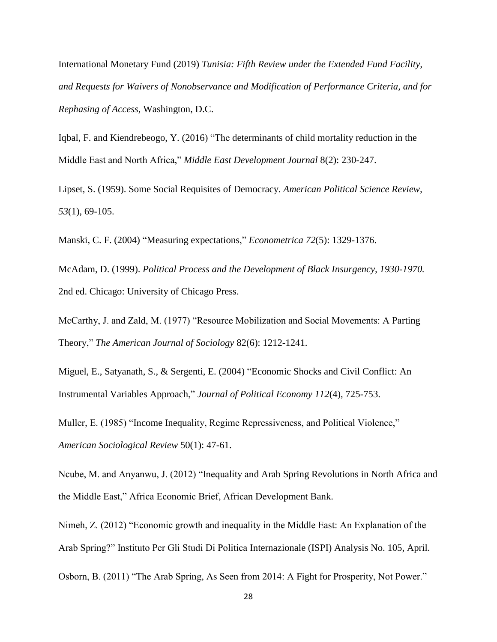International Monetary Fund (2019) *Tunisia: Fifth Review under the Extended Fund Facility, and Requests for Waivers of Nonobservance and Modification of Performance Criteria, and for Rephasing of Access,* Washington, D.C.

Iqbal, F. and Kiendrebeogo, Y. (2016) "The determinants of child mortality reduction in the Middle East and North Africa," *Middle East Development Journal* 8(2): 230-247.

Lipset, S. (1959). Some Social Requisites of Democracy. *American Political Science Review, 53*(1), 69-105.

Manski, C. F. (2004) "Measuring expectations," *Econometrica 72*(5): 1329-1376.

McAdam, D. (1999). *Political Process and the Development of Black Insurgency, 1930-1970.* 2nd ed. Chicago: University of Chicago Press.

McCarthy, J. and Zald, M. (1977) "Resource Mobilization and Social Movements: A Parting Theory," *The American Journal of Sociology* 82(6): 1212-1241.

Miguel, E., Satyanath, S., & Sergenti, E. (2004) "Economic Shocks and Civil Conflict: An Instrumental Variables Approach," *Journal of Political Economy 112*(4), 725-753.

Muller, E. (1985) "Income Inequality, Regime Repressiveness, and Political Violence," *American Sociological Review* 50(1): 47-61.

Ncube, M. and Anyanwu, J. (2012) "Inequality and Arab Spring Revolutions in North Africa and the Middle East," Africa Economic Brief, African Development Bank.

Nimeh, Z. (2012) "Economic growth and inequality in the Middle East: An Explanation of the Arab Spring?" Instituto Per Gli Studi Di Politica Internazionale (ISPI) Analysis No. 105, April.

Osborn, B. (2011) "The Arab Spring, As Seen from 2014: A Fight for Prosperity, Not Power."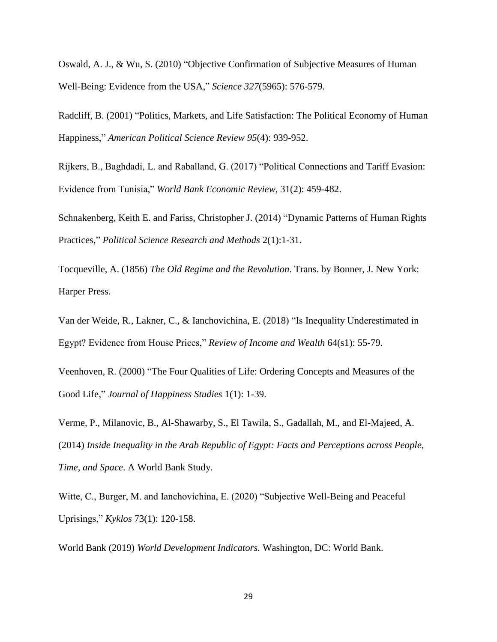Oswald, A. J., & Wu, S. (2010) "Objective Confirmation of Subjective Measures of Human Well-Being: Evidence from the USA," *Science 327*(5965): 576-579.

Radcliff, B. (2001) "Politics, Markets, and Life Satisfaction: The Political Economy of Human Happiness," *American Political Science Review 95*(4): 939-952.

Rijkers, B., Baghdadi, L. and Raballand, G. (2017) "Political Connections and Tariff Evasion: Evidence from Tunisia," *World Bank Economic Review,* 31(2): 459-482.

Schnakenberg, Keith E. and Fariss, Christopher J. (2014) "Dynamic Patterns of Human Rights Practices," *Political Science Research and Methods* 2(1):1-31.

Tocqueville, A. (1856) *The Old Regime and the Revolution*. Trans. by Bonner, J. New York: Harper Press.

Van der Weide, R., Lakner, C., & Ianchovichina, E. (2018) "Is Inequality Underestimated in Egypt? Evidence from House Prices," *Review of Income and Wealth* 64(s1): 55-79.

Veenhoven, R. (2000) "The Four Qualities of Life: Ordering Concepts and Measures of the Good Life," *Journal of Happiness Studies* 1(1): 1-39.

Verme, P., Milanovic, B., Al-Shawarby, S., El Tawila, S., Gadallah, M., and El-Majeed, A. (2014) *Inside Inequality in the Arab Republic of Egypt: Facts and Perceptions across People, Time, and Space*. A World Bank Study.

Witte, C., Burger, M. and Ianchovichina, E. (2020) "Subjective Well-Being and Peaceful Uprisings," *Kyklos* 73(1): 120-158.

World Bank (2019) *World Development Indicators.* Washington, DC: World Bank.